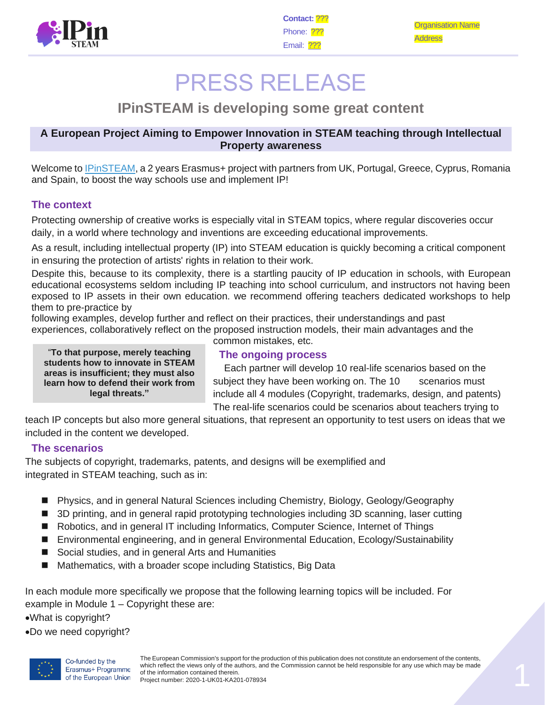

Organisation Name Address

# PRESS RELEASE

# **IPinSTEAM is developing some great content**

#### **A European Project Aiming to Empower Innovation in STEAM teaching through Intellectual Property awareness**

Welcome to [IPinSTEAM,](https://www.ipinsteam.eu/) a 2 years Erasmus+ project with partners from UK, Portugal, Greece, Cyprus, Romania and Spain, to boost the way schools use and implement IP!

### **The context**

Protecting ownership of creative works is especially vital in STEAM topics, where regular discoveries occur daily, in a world where technology and inventions are exceeding educational improvements.

As a result, including intellectual property (IP) into STEAM education is quickly becoming a critical component in ensuring the protection of artists' rights in relation to their work.

Despite this, because to its complexity, there is a startling paucity of IP education in schools, with European educational ecosystems seldom including IP teaching into school curriculum, and instructors not having been exposed to IP assets in their own education. we recommend offering teachers dedicated workshops to help them to pre-practice by

following examples, develop further and reflect on their practices, their understandings and past experiences, collaboratively reflect on the proposed instruction models, their main advantages and the

"**To that purpose, merely teaching students how to innovate in STEAM areas is insufficient; they must also learn how to defend their work from legal threats."**

common mistakes, etc.

#### **The ongoing process**

 Each partner will develop 10 real-life scenarios based on the subject they have been working on. The 10 scenarios must include all 4 modules (Copyright, trademarks, design, and patents) The real-life scenarios could be scenarios about teachers trying to

teach IP concepts but also more general situations, that represent an opportunity to test users on ideas that we included in the content we developed.

## **The scenarios**

The subjects of copyright, trademarks, patents, and designs will be exemplified and integrated in STEAM teaching, such as in:

- Physics, and in general Natural Sciences including Chemistry, Biology, Geology/Geography
- 3D printing, and in general rapid prototyping technologies including 3D scanning, laser cutting
- Robotics, and in general IT including Informatics, Computer Science, Internet of Things
- Environmental engineering, and in general Environmental Education, Ecology/Sustainability
- Social studies, and in general Arts and Humanities
- Mathematics, with a broader scope including Statistics, Big Data

In each module more specifically we propose that the following learning topics will be included. For example in Module 1 – Copyright these are:

•What is copyright?

•Do we need copyright?